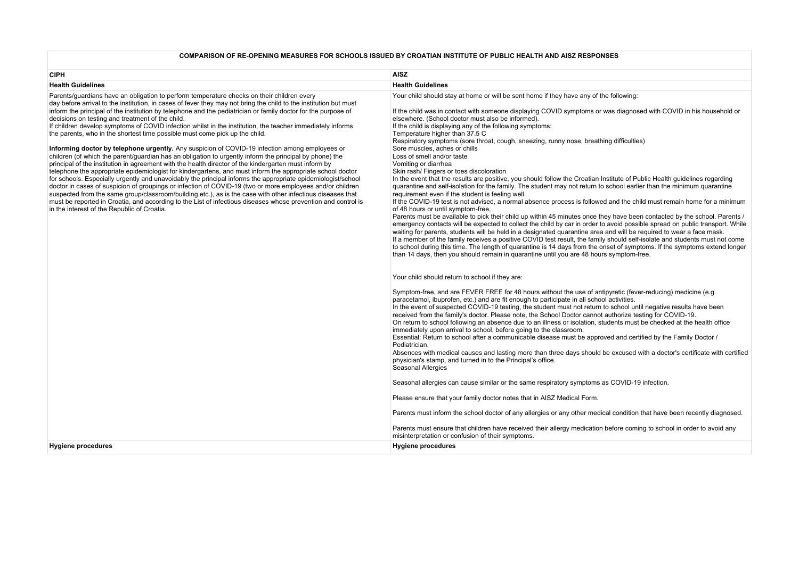# **COMPARISON OF RE-OPENING MEASURES FOR SCHOOLS ISSUED BY CROATIAN INSTITUTE OF PUBLIC HEALTH AND AISZ RESPONSES**

| <b>CIPH</b>                                                                                                                                                                                                                                                                                                                                                                                                                                                                                                                                                                                                                                                                                                                                                                                                                                                                                                                                                                                                                                                                                                                                                                                                                                                                                                                                                                                                                                                                                                                                                 | <b>AISZ</b>                                                                                                                                                                                                                                                                                                                                                                                                                                                                                                                                                                                                                                                                                                                                                                                                                                                                                                                                                                                                                                                                                                                                                                                                                                                                                                                                                                                                                                                                                                                                                                                                                                                                                                                                                                                                                                                                                                                                                                                                                                                                                                                                                                                                                                                                                                                                                                                                                                                                                                                                                                                                                                                                                                                                                                                                                                                                                                                                                                                               |
|-------------------------------------------------------------------------------------------------------------------------------------------------------------------------------------------------------------------------------------------------------------------------------------------------------------------------------------------------------------------------------------------------------------------------------------------------------------------------------------------------------------------------------------------------------------------------------------------------------------------------------------------------------------------------------------------------------------------------------------------------------------------------------------------------------------------------------------------------------------------------------------------------------------------------------------------------------------------------------------------------------------------------------------------------------------------------------------------------------------------------------------------------------------------------------------------------------------------------------------------------------------------------------------------------------------------------------------------------------------------------------------------------------------------------------------------------------------------------------------------------------------------------------------------------------------|-----------------------------------------------------------------------------------------------------------------------------------------------------------------------------------------------------------------------------------------------------------------------------------------------------------------------------------------------------------------------------------------------------------------------------------------------------------------------------------------------------------------------------------------------------------------------------------------------------------------------------------------------------------------------------------------------------------------------------------------------------------------------------------------------------------------------------------------------------------------------------------------------------------------------------------------------------------------------------------------------------------------------------------------------------------------------------------------------------------------------------------------------------------------------------------------------------------------------------------------------------------------------------------------------------------------------------------------------------------------------------------------------------------------------------------------------------------------------------------------------------------------------------------------------------------------------------------------------------------------------------------------------------------------------------------------------------------------------------------------------------------------------------------------------------------------------------------------------------------------------------------------------------------------------------------------------------------------------------------------------------------------------------------------------------------------------------------------------------------------------------------------------------------------------------------------------------------------------------------------------------------------------------------------------------------------------------------------------------------------------------------------------------------------------------------------------------------------------------------------------------------------------------------------------------------------------------------------------------------------------------------------------------------------------------------------------------------------------------------------------------------------------------------------------------------------------------------------------------------------------------------------------------------------------------------------------------------------------------------------------------------|
|                                                                                                                                                                                                                                                                                                                                                                                                                                                                                                                                                                                                                                                                                                                                                                                                                                                                                                                                                                                                                                                                                                                                                                                                                                                                                                                                                                                                                                                                                                                                                             |                                                                                                                                                                                                                                                                                                                                                                                                                                                                                                                                                                                                                                                                                                                                                                                                                                                                                                                                                                                                                                                                                                                                                                                                                                                                                                                                                                                                                                                                                                                                                                                                                                                                                                                                                                                                                                                                                                                                                                                                                                                                                                                                                                                                                                                                                                                                                                                                                                                                                                                                                                                                                                                                                                                                                                                                                                                                                                                                                                                                           |
| <b>Health Guidelines</b><br>Parents/guardians have an obligation to perform temperature checks on their children every<br>day before arrival to the institution, in cases of fever they may not bring the child to the institution but must<br>inform the principal of the institution by telephone and the pediatrician or family doctor for the purpose of<br>decisions on testing and treatment of the child.<br>If children develop symptoms of COVID infection whilst in the institution, the teacher immediately informs<br>the parents, who in the shortest time possible must come pick up the child.<br>Informing doctor by telephone urgently. Any suspicion of COVID-19 infection among employees or<br>children (of which the parent/guardian has an obligation to urgently inform the principal by phone) the<br>principal of the institution in agreement with the health director of the kindergarten must inform by<br>telephone the appropriate epidemiologist for kindergartens, and must inform the appropriate school doctor<br>for schools. Especially urgently and unavoidably the principal informs the appropriate epidemiologist/school<br>doctor in cases of suspicion of groupings or infection of COVID-19 (two or more employees and/or children<br>suspected from the same group/classroom/building etc.), as is the case with other infectious diseases that<br>must be reported in Croatia, and according to the List of infectious diseases whose prevention and control is<br>in the interest of the Republic of Croatia. | <b>Health Guidelines</b><br>Your child should stay at home or will be sent home if they have any of the following:<br>If the child was in contact with someone displaying COVID symptoms or was diagnosed with COVID in his household or<br>elsewhere. (School doctor must also be informed).<br>If the child is displaying any of the following symptoms:<br>Temperature higher than 37.5 C<br>Respiratory symptoms (sore throat, cough, sneezing, runny nose, breathing difficulties)<br>Sore muscles, aches or chills<br>Loss of smell and/or taste<br>Vomiting or diarrhea<br>Skin rash/ Fingers or toes discoloration<br>In the event that the results are positive, you should follow the Croatian Institute of Public Health guidelines regarding<br>quarantine and self-isolation for the family. The student may not return to school earlier than the minimum quarantine<br>requirement even if the student is feeling well.<br>If the COVID-19 test is not advised, a normal absence process is followed and the child must remain home for a minimum<br>of 48 hours or until symptom-free.<br>Parents must be available to pick their child up within 45 minutes once they have been contacted by the school. Parents /<br>emergency contacts will be expected to collect the child by car in order to avoid possible spread on public transport. While<br>waiting for parents, students will be held in a designated quarantine area and will be required to wear a face mask.<br>If a member of the family receives a positive COVID test result, the family should self-isolate and students must not come<br>to school during this time. The length of quarantine is 14 days from the onset of symptoms. If the symptoms extend longer<br>than 14 days, then you should remain in quarantine until you are 48 hours symptom-free.<br>Your child should return to school if they are:<br>Symptom-free, and are FEVER FREE for 48 hours without the use of antipyretic (fever-reducing) medicine (e.g.<br>paracetamol, ibuprofen, etc.) and are fit enough to participate in all school activities.<br>In the event of suspected COVID-19 testing, the student must not return to school until negative results have been<br>received from the family's doctor. Please note, the School Doctor cannot authorize testing for COVID-19.<br>On return to school following an absence due to an illness or isolation, students must be checked at the health office<br>immediately upon arrival to school, before going to the classroom.<br>Essential: Return to school after a communicable disease must be approved and certified by the Family Doctor /<br>Pediatrician.<br>Absences with medical causes and lasting more than three days should be excused with a doctor's certificate with certified<br>physician's stamp, and turned in to the Principal's office.<br>Seasonal Allergies<br>Seasonal allergies can cause similar or the same respiratory symptoms as COVID-19 infection. |
|                                                                                                                                                                                                                                                                                                                                                                                                                                                                                                                                                                                                                                                                                                                                                                                                                                                                                                                                                                                                                                                                                                                                                                                                                                                                                                                                                                                                                                                                                                                                                             | Please ensure that your family doctor notes that in AISZ Medical Form.                                                                                                                                                                                                                                                                                                                                                                                                                                                                                                                                                                                                                                                                                                                                                                                                                                                                                                                                                                                                                                                                                                                                                                                                                                                                                                                                                                                                                                                                                                                                                                                                                                                                                                                                                                                                                                                                                                                                                                                                                                                                                                                                                                                                                                                                                                                                                                                                                                                                                                                                                                                                                                                                                                                                                                                                                                                                                                                                    |
|                                                                                                                                                                                                                                                                                                                                                                                                                                                                                                                                                                                                                                                                                                                                                                                                                                                                                                                                                                                                                                                                                                                                                                                                                                                                                                                                                                                                                                                                                                                                                             | Parents must inform the school doctor of any allergies or any other medical condition that have been recently diagnosed.                                                                                                                                                                                                                                                                                                                                                                                                                                                                                                                                                                                                                                                                                                                                                                                                                                                                                                                                                                                                                                                                                                                                                                                                                                                                                                                                                                                                                                                                                                                                                                                                                                                                                                                                                                                                                                                                                                                                                                                                                                                                                                                                                                                                                                                                                                                                                                                                                                                                                                                                                                                                                                                                                                                                                                                                                                                                                  |
|                                                                                                                                                                                                                                                                                                                                                                                                                                                                                                                                                                                                                                                                                                                                                                                                                                                                                                                                                                                                                                                                                                                                                                                                                                                                                                                                                                                                                                                                                                                                                             | Parents must ensure that children have received their allergy medication before coming to school in order to avoid any<br>misinterpretation or confusion of their symptoms.                                                                                                                                                                                                                                                                                                                                                                                                                                                                                                                                                                                                                                                                                                                                                                                                                                                                                                                                                                                                                                                                                                                                                                                                                                                                                                                                                                                                                                                                                                                                                                                                                                                                                                                                                                                                                                                                                                                                                                                                                                                                                                                                                                                                                                                                                                                                                                                                                                                                                                                                                                                                                                                                                                                                                                                                                               |
| <b>Hygiene procedures</b>                                                                                                                                                                                                                                                                                                                                                                                                                                                                                                                                                                                                                                                                                                                                                                                                                                                                                                                                                                                                                                                                                                                                                                                                                                                                                                                                                                                                                                                                                                                                   | <b>Hygiene procedures</b>                                                                                                                                                                                                                                                                                                                                                                                                                                                                                                                                                                                                                                                                                                                                                                                                                                                                                                                                                                                                                                                                                                                                                                                                                                                                                                                                                                                                                                                                                                                                                                                                                                                                                                                                                                                                                                                                                                                                                                                                                                                                                                                                                                                                                                                                                                                                                                                                                                                                                                                                                                                                                                                                                                                                                                                                                                                                                                                                                                                 |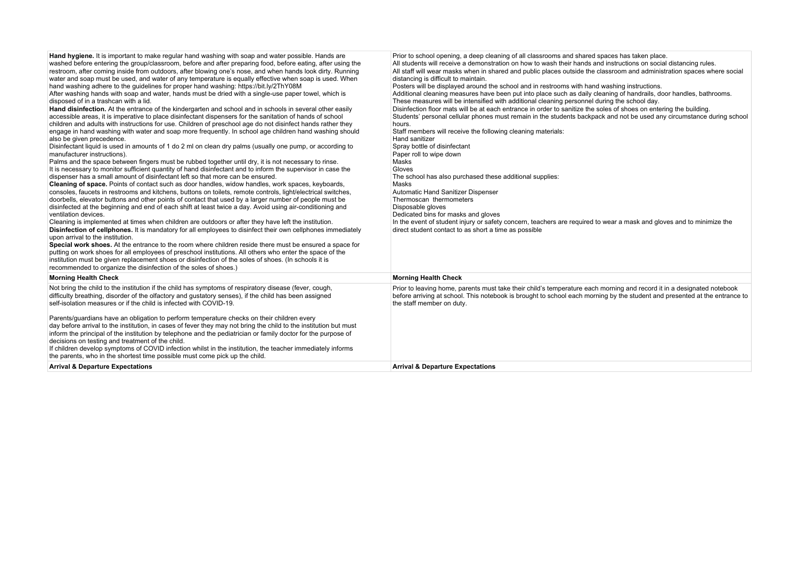| Hand hygiene. It is important to make regular hand washing with soap and water possible. Hands are<br>washed before entering the group/classroom, before and after preparing food, before eating, after using the<br>restroom, after coming inside from outdoors, after blowing one's nose, and when hands look dirty. Running<br>water and soap must be used, and water of any temperature is equally effective when soap is used. When<br>hand washing adhere to the quidelines for proper hand washing: https://bit.ly/2ThY08M<br>After washing hands with soap and water, hands must be dried with a single-use paper towel, which is<br>disposed of in a trashcan with a lid.<br>Hand disinfection. At the entrance of the kindergarten and school and in schools in several other easily<br>accessible areas, it is imperative to place disinfectant dispensers for the sanitation of hands of school<br>children and adults with instructions for use. Children of preschool age do not disinfect hands rather they<br>engage in hand washing with water and soap more frequently. In school age children hand washing should<br>also be given precedence.<br>Disinfectant liquid is used in amounts of 1 do 2 ml on clean dry palms (usually one pump, or according to<br>manufacturer instructions).<br>Palms and the space between fingers must be rubbed together until dry, it is not necessary to rinse.<br>It is necessary to monitor sufficient quantity of hand disinfectant and to inform the supervisor in case the<br>dispenser has a small amount of disinfectant left so that more can be ensured.<br>Cleaning of space. Points of contact such as door handles, widow handles, work spaces, keyboards,<br>consoles, faucets in restrooms and kitchens, buttons on toilets, remote controls, light/electrical switches,<br>doorbells, elevator buttons and other points of contact that used by a larger number of people must be<br>disinfected at the beginning and end of each shift at least twice a day. Avoid using air-conditioning and<br>ventilation devices.<br>Cleaning is implemented at times when children are outdoors or after they have left the institution.<br>Disinfection of cellphones. It is mandatory for all employees to disinfect their own cellphones immediately<br>upon arrival to the institution.<br>Special work shoes. At the entrance to the room where children reside there must be ensured a space for<br>putting on work shoes for all employees of preschool institutions. All others who enter the space of the<br>institution must be given replacement shoes or disinfection of the soles of shoes. (In schools it is<br>recommended to organize the disinfection of the soles of shoes.) | Prior to school opening, a deep cleaning of all classrooms and shared spaces has taken place.<br>All students will receive a demonstration on how to wash their hands and instructions on social distancing rules.<br>All staff will wear masks when in shared and public places outside the classroom and administration spaces where social<br>distancing is difficult to maintain.<br>Posters will be displayed around the school and in restrooms with hand washing instructions.<br>Additional cleaning measures have been put into place such as daily cleaning of handrails, door handles, bathrooms.<br>These measures will be intensified with additional cleaning personnel during the school day.<br>Disinfection floor mats will be at each entrance in order to sanitize the soles of shoes on entering the building.<br>Students' personal cellular phones must remain in the students backpack and not be used any circumstance during school<br>hours.<br>Staff members will receive the following cleaning materials:<br>Hand sanitizer<br>Spray bottle of disinfectant<br>Paper roll to wipe down<br>Masks<br>Gloves<br>The school has also purchased these additional supplies:<br>Masks<br>Automatic Hand Sanitizer Dispenser<br>Thermoscan thermometers<br>Disposable gloves<br>Dedicated bins for masks and gloves<br>In the event of student injury or safety concern, teachers are required to wear a mask and gloves and to minimize the<br>direct student contact to as short a time as possible |
|-----------------------------------------------------------------------------------------------------------------------------------------------------------------------------------------------------------------------------------------------------------------------------------------------------------------------------------------------------------------------------------------------------------------------------------------------------------------------------------------------------------------------------------------------------------------------------------------------------------------------------------------------------------------------------------------------------------------------------------------------------------------------------------------------------------------------------------------------------------------------------------------------------------------------------------------------------------------------------------------------------------------------------------------------------------------------------------------------------------------------------------------------------------------------------------------------------------------------------------------------------------------------------------------------------------------------------------------------------------------------------------------------------------------------------------------------------------------------------------------------------------------------------------------------------------------------------------------------------------------------------------------------------------------------------------------------------------------------------------------------------------------------------------------------------------------------------------------------------------------------------------------------------------------------------------------------------------------------------------------------------------------------------------------------------------------------------------------------------------------------------------------------------------------------------------------------------------------------------------------------------------------------------------------------------------------------------------------------------------------------------------------------------------------------------------------------------------------------------------------------------------------------------------------------------------------------------------------------------------------------------------------------------------------------------------------------------------------------------------------------------------|----------------------------------------------------------------------------------------------------------------------------------------------------------------------------------------------------------------------------------------------------------------------------------------------------------------------------------------------------------------------------------------------------------------------------------------------------------------------------------------------------------------------------------------------------------------------------------------------------------------------------------------------------------------------------------------------------------------------------------------------------------------------------------------------------------------------------------------------------------------------------------------------------------------------------------------------------------------------------------------------------------------------------------------------------------------------------------------------------------------------------------------------------------------------------------------------------------------------------------------------------------------------------------------------------------------------------------------------------------------------------------------------------------------------------------------------------------------------------------------------------------------------------|
| <b>Morning Health Check</b>                                                                                                                                                                                                                                                                                                                                                                                                                                                                                                                                                                                                                                                                                                                                                                                                                                                                                                                                                                                                                                                                                                                                                                                                                                                                                                                                                                                                                                                                                                                                                                                                                                                                                                                                                                                                                                                                                                                                                                                                                                                                                                                                                                                                                                                                                                                                                                                                                                                                                                                                                                                                                                                                                                                               | <b>Morning Health Check</b>                                                                                                                                                                                                                                                                                                                                                                                                                                                                                                                                                                                                                                                                                                                                                                                                                                                                                                                                                                                                                                                                                                                                                                                                                                                                                                                                                                                                                                                                                                |
| Not bring the child to the institution if the child has symptoms of respiratory disease (fever, cough,<br>difficulty breathing, disorder of the olfactory and qustatory senses), if the child has been assigned<br>self-isolation measures or if the child is infected with COVID-19.<br>Parents/guardians have an obligation to perform temperature checks on their children every<br>day before arrival to the institution, in cases of fever they may not bring the child to the institution but must<br>inform the principal of the institution by telephone and the pediatrician or family doctor for the purpose of<br>decisions on testing and treatment of the child.<br>If children develop symptoms of COVID infection whilst in the institution, the teacher immediately informs<br>the parents, who in the shortest time possible must come pick up the child.                                                                                                                                                                                                                                                                                                                                                                                                                                                                                                                                                                                                                                                                                                                                                                                                                                                                                                                                                                                                                                                                                                                                                                                                                                                                                                                                                                                                                                                                                                                                                                                                                                                                                                                                                                                                                                                                                | Prior to leaving home, parents must take their child's temperature each morning and record it in a designated notebook<br>before arriving at school. This notebook is brought to school each morning by the student and presented at the entrance to<br>the staff member on duty.                                                                                                                                                                                                                                                                                                                                                                                                                                                                                                                                                                                                                                                                                                                                                                                                                                                                                                                                                                                                                                                                                                                                                                                                                                          |
| <b>Arrival &amp; Departure Expectations</b>                                                                                                                                                                                                                                                                                                                                                                                                                                                                                                                                                                                                                                                                                                                                                                                                                                                                                                                                                                                                                                                                                                                                                                                                                                                                                                                                                                                                                                                                                                                                                                                                                                                                                                                                                                                                                                                                                                                                                                                                                                                                                                                                                                                                                                                                                                                                                                                                                                                                                                                                                                                                                                                                                                               | <b>Arrival &amp; Departure Expectations</b>                                                                                                                                                                                                                                                                                                                                                                                                                                                                                                                                                                                                                                                                                                                                                                                                                                                                                                                                                                                                                                                                                                                                                                                                                                                                                                                                                                                                                                                                                |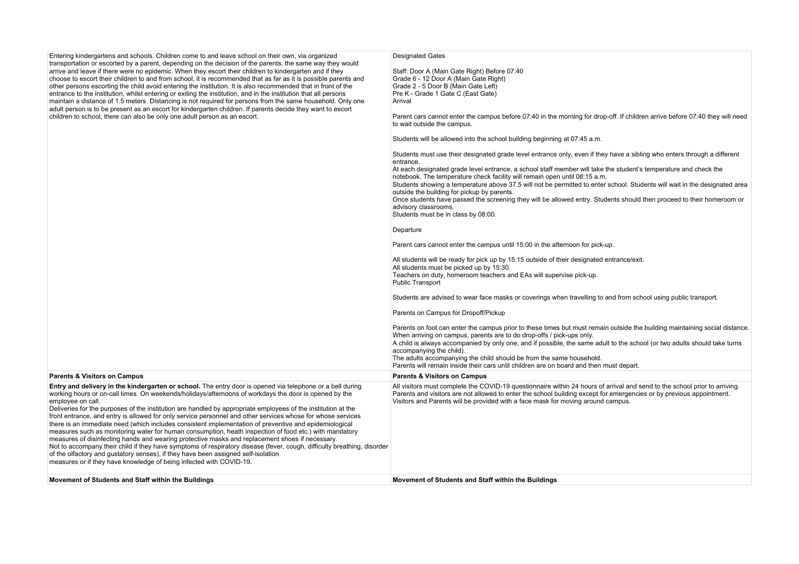| Entering kindergartens and schools. Children come to and leave school on their own, via organized<br>transportation or escorted by a parent, depending on the decision of the parents, the same way they would<br>arrive and leave if there were no epidemic. When they escort their children to kindergarten and if they<br>choose to escort their children to and from school, it is recommended that as far as it is possible parents and<br>other persons escorting the child avoid entering the institution. It is also recommended that in front of the<br>entrance to the institution, whilst entering or exiting the institution, and in the institution that all persons<br>maintain a distance of 1.5 meters. Distancing is not required for persons from the same household. Only one<br>adult person is to be present as an escort for kindergarten children. If parents decide they want to escort<br>children to school, there can also be only one adult person as an escort.                                                                                          | <b>Designated Gates</b><br>Staff: Door A (Main Gate Right) Before 07:40<br>Grade 6 - 12 Door A (Main Gate Right)<br>Grade 2 - 5 Door B (Main Gate Left)<br>Pre K - Grade 1 Gate C (East Gate)<br>Arrival<br>Parent cars cannot enter the campus before 07:40 in the morning for drop-off. If children arrive before 07:40 they will need<br>to wait outside the campus.<br>Students will be allowed into the school building beginning at 07:45 a.m.<br>Students must use their designated grade level entrance only, even if they have a sibling who enters through a different<br>entrance.<br>At each designated grade level entrance, a school staff member will take the student's temperature and check the<br>notebook. The temperature check facility will remain open until 08:15 a.m.<br>Students showing a temperature above 37.5 will not be permitted to enter school. Students will wait in the designated area<br>outside the building for pickup by parents.<br>Once students have passed the screening they will be allowed entry. Students should then proceed to their homeroom or<br>advisory classrooms.<br>Students must be in class by 08:00.<br>Departure<br>Parent cars cannot enter the campus until 15:00 in the afternoon for pick-up.<br>All students will be ready for pick up by 15:15 outside of their designated entrance/exit.<br>All students must be picked up by 15:30.<br>Teachers on duty, homeroom teachers and EAs will supervise pick-up.<br><b>Public Transport</b><br>Students are advised to wear face masks or coverings when travelling to and from school using public transport.<br>Parents on Campus for Dropoff/Pickup<br>Parents on foot can enter the campus prior to these times but must remain outside the building maintaining social distance.<br>When arriving on campus, parents are to do drop-offs / pick-ups only.<br>A child is always accompanied by only one, and if possible, the same adult to the school (or two adults should take turns<br>accompanying the child). |
|---------------------------------------------------------------------------------------------------------------------------------------------------------------------------------------------------------------------------------------------------------------------------------------------------------------------------------------------------------------------------------------------------------------------------------------------------------------------------------------------------------------------------------------------------------------------------------------------------------------------------------------------------------------------------------------------------------------------------------------------------------------------------------------------------------------------------------------------------------------------------------------------------------------------------------------------------------------------------------------------------------------------------------------------------------------------------------------|--------------------------------------------------------------------------------------------------------------------------------------------------------------------------------------------------------------------------------------------------------------------------------------------------------------------------------------------------------------------------------------------------------------------------------------------------------------------------------------------------------------------------------------------------------------------------------------------------------------------------------------------------------------------------------------------------------------------------------------------------------------------------------------------------------------------------------------------------------------------------------------------------------------------------------------------------------------------------------------------------------------------------------------------------------------------------------------------------------------------------------------------------------------------------------------------------------------------------------------------------------------------------------------------------------------------------------------------------------------------------------------------------------------------------------------------------------------------------------------------------------------------------------------------------------------------------------------------------------------------------------------------------------------------------------------------------------------------------------------------------------------------------------------------------------------------------------------------------------------------------------------------------------------------------------------------------------------------------------------------------------------------------------------------|
|                                                                                                                                                                                                                                                                                                                                                                                                                                                                                                                                                                                                                                                                                                                                                                                                                                                                                                                                                                                                                                                                                       | The adults accompanying the child should be from the same household.<br>Parents will remain inside their cars until children are on board and then must depart.                                                                                                                                                                                                                                                                                                                                                                                                                                                                                                                                                                                                                                                                                                                                                                                                                                                                                                                                                                                                                                                                                                                                                                                                                                                                                                                                                                                                                                                                                                                                                                                                                                                                                                                                                                                                                                                                            |
| <b>Parents &amp; Visitors on Campus</b>                                                                                                                                                                                                                                                                                                                                                                                                                                                                                                                                                                                                                                                                                                                                                                                                                                                                                                                                                                                                                                               | <b>Parents &amp; Visitors on Campus</b>                                                                                                                                                                                                                                                                                                                                                                                                                                                                                                                                                                                                                                                                                                                                                                                                                                                                                                                                                                                                                                                                                                                                                                                                                                                                                                                                                                                                                                                                                                                                                                                                                                                                                                                                                                                                                                                                                                                                                                                                    |
| Entry and delivery in the kindergarten or school. The entry door is opened via telephone or a bell during<br>working hours or on-call times. On weekends/holidays/afternoons of workdays the door is opened by the<br>employee on call.<br>Deliveries for the purposes of the institution are handled by appropriate employees of the institution at the<br>front entrance, and entry is allowed for only service personnel and other services whose for whose services<br>there is an immediate need (which includes consistent implementation of preventive and epidemiological<br>measures such as monitoring water for human consumption, heath inspection of food etc.) with mandatory<br>measures of disinfecting hands and wearing protective masks and replacement shoes if necessary.<br>Not to accompany their child if they have symptoms of respiratory disease (fever, cough, difficulty breathing, disorder<br>of the olfactory and gustatory senses), if they have been assigned self-isolation<br>measures or if they have knowledge of being infected with COVID-19. | All visitors must complete the COVID-19 questionnaire within 24 hours of arrival and send to the school prior to arriving.<br>Parents and visitors are not allowed to enter the school building except for emergencies or by previous appointment.<br>Visitors and Parents will be provided with a face mask for moving around campus.                                                                                                                                                                                                                                                                                                                                                                                                                                                                                                                                                                                                                                                                                                                                                                                                                                                                                                                                                                                                                                                                                                                                                                                                                                                                                                                                                                                                                                                                                                                                                                                                                                                                                                     |
|                                                                                                                                                                                                                                                                                                                                                                                                                                                                                                                                                                                                                                                                                                                                                                                                                                                                                                                                                                                                                                                                                       |                                                                                                                                                                                                                                                                                                                                                                                                                                                                                                                                                                                                                                                                                                                                                                                                                                                                                                                                                                                                                                                                                                                                                                                                                                                                                                                                                                                                                                                                                                                                                                                                                                                                                                                                                                                                                                                                                                                                                                                                                                            |

**Movement of Students and Staff within the Buildings Movement of Students and Staff within the Buildings**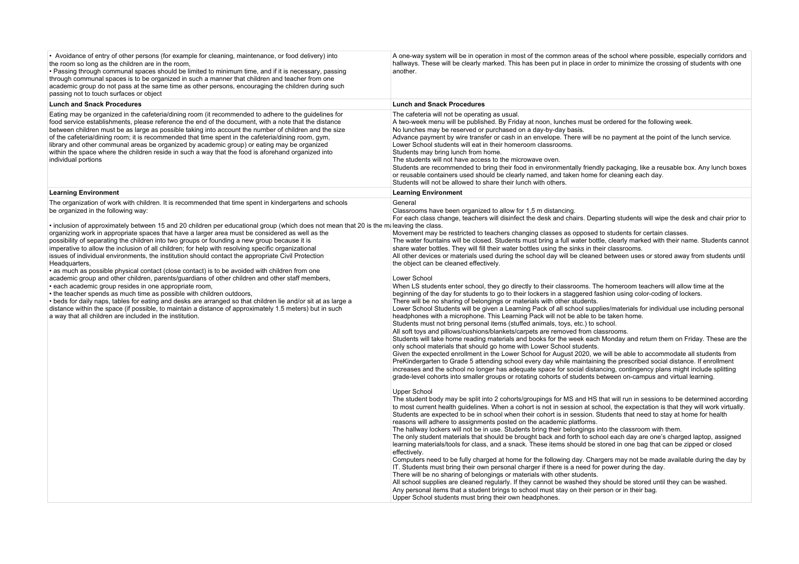| • Avoidance of entry of other persons (for example for cleaning, maintenance, or food delivery) into<br>the room so long as the children are in the room,<br>• Passing through communal spaces should be limited to minimum time, and if it is necessary, passing<br>through communal spaces is to be organized in such a manner that children and teacher from one<br>academic group do not pass at the same time as other persons, encouraging the children during such<br>passing not to touch surfaces or object                                                                                                                                                                                                                                                                                                     | A one-way system will be in operation in most of the common areas of the school where possible, especially corridors and<br>hallways. These will be clearly marked. This has been put in place in order to minimize the crossing of students with one<br>another.                                                                                                                                                                                                                                                                                                                                                                                                                                                                                                                                                                                                                                                                                                                                                                                                                                                                                                                                                                                                                                                                                                                                                                                                                                                                                                                                                                                                                                                                                                                                                                                                                                                                                                                                                                                                                                                                                                                                                                                                                                                                                                                                                                                                                                                                                                                                                                                                                                                                                                                                                                                                                        |
|--------------------------------------------------------------------------------------------------------------------------------------------------------------------------------------------------------------------------------------------------------------------------------------------------------------------------------------------------------------------------------------------------------------------------------------------------------------------------------------------------------------------------------------------------------------------------------------------------------------------------------------------------------------------------------------------------------------------------------------------------------------------------------------------------------------------------|------------------------------------------------------------------------------------------------------------------------------------------------------------------------------------------------------------------------------------------------------------------------------------------------------------------------------------------------------------------------------------------------------------------------------------------------------------------------------------------------------------------------------------------------------------------------------------------------------------------------------------------------------------------------------------------------------------------------------------------------------------------------------------------------------------------------------------------------------------------------------------------------------------------------------------------------------------------------------------------------------------------------------------------------------------------------------------------------------------------------------------------------------------------------------------------------------------------------------------------------------------------------------------------------------------------------------------------------------------------------------------------------------------------------------------------------------------------------------------------------------------------------------------------------------------------------------------------------------------------------------------------------------------------------------------------------------------------------------------------------------------------------------------------------------------------------------------------------------------------------------------------------------------------------------------------------------------------------------------------------------------------------------------------------------------------------------------------------------------------------------------------------------------------------------------------------------------------------------------------------------------------------------------------------------------------------------------------------------------------------------------------------------------------------------------------------------------------------------------------------------------------------------------------------------------------------------------------------------------------------------------------------------------------------------------------------------------------------------------------------------------------------------------------------------------------------------------------------------------------------------------------|
| <b>Lunch and Snack Procedures</b>                                                                                                                                                                                                                                                                                                                                                                                                                                                                                                                                                                                                                                                                                                                                                                                        | <b>Lunch and Snack Procedures</b>                                                                                                                                                                                                                                                                                                                                                                                                                                                                                                                                                                                                                                                                                                                                                                                                                                                                                                                                                                                                                                                                                                                                                                                                                                                                                                                                                                                                                                                                                                                                                                                                                                                                                                                                                                                                                                                                                                                                                                                                                                                                                                                                                                                                                                                                                                                                                                                                                                                                                                                                                                                                                                                                                                                                                                                                                                                        |
| Eating may be organized in the cafeteria/dining room (it recommended to adhere to the guidelines for<br>food service establishments, please reference the end of the document, with a note that the distance<br>between children must be as large as possible taking into account the number of children and the size<br>of the cafeteria/dining room; it is recommended that time spent in the cafeteria/dining room, gym,<br>library and other communal areas be organized by academic group) or eating may be organized<br>within the space where the children reside in such a way that the food is aforehand organized into<br>individual portions                                                                                                                                                                  | The cafeteria will not be operating as usual.<br>A two-week menu will be published. By Friday at noon, lunches must be ordered for the following week.<br>No lunches may be reserved or purchased on a day-by-day basis.<br>Advance payment by wire transfer or cash in an envelope. There will be no payment at the point of the lunch service.<br>Lower School students will eat in their homeroom classrooms.<br>Students may bring lunch from home.<br>The students will not have access to the microwave oven.<br>Students are recommended to bring their food in environmentally friendly packaging, like a reusable box. Any lunch boxes<br>or reusable containers used should be clearly named, and taken home for cleaning each day.<br>Students will not be allowed to share their lunch with others.                                                                                                                                                                                                                                                                                                                                                                                                                                                                                                                                                                                                                                                                                                                                                                                                                                                                                                                                                                                                                                                                                                                                                                                                                                                                                                                                                                                                                                                                                                                                                                                                                                                                                                                                                                                                                                                                                                                                                                                                                                                                          |
| <b>Learning Environment</b>                                                                                                                                                                                                                                                                                                                                                                                                                                                                                                                                                                                                                                                                                                                                                                                              | <b>Learning Environment</b>                                                                                                                                                                                                                                                                                                                                                                                                                                                                                                                                                                                                                                                                                                                                                                                                                                                                                                                                                                                                                                                                                                                                                                                                                                                                                                                                                                                                                                                                                                                                                                                                                                                                                                                                                                                                                                                                                                                                                                                                                                                                                                                                                                                                                                                                                                                                                                                                                                                                                                                                                                                                                                                                                                                                                                                                                                                              |
| The organization of work with children. It is recommended that time spent in kindergartens and schools<br>be organized in the following way:<br>• inclusion of approximately between 15 and 20 children per educational group (which does not mean that 20 is the mileaving the class.<br>organizing work in appropriate spaces that have a larger area must be considered as well as the<br>possibility of separating the children into two groups or founding a new group because it is<br>imperative to allow the inclusion of all children; for help with resolving specific organizational<br>issues of individual environments, the institution should contact the appropriate Civil Protection<br>Headquarters,<br>• as much as possible physical contact (close contact) is to be avoided with children from one | General<br>Classrooms have been organized to allow for 1,5 m distancing.<br>For each class change, teachers will disinfect the desk and chairs. Departing students will wipe the desk and chair prior to<br>Movement may be restricted to teachers changing classes as opposed to students for certain classes.<br>The water fountains will be closed. Students must bring a full water bottle, clearly marked with their name. Students cannot<br>share water bottles. They will fill their water bottles using the sinks in their classrooms.<br>All other devices or materials used during the school day will be cleaned between uses or stored away from students until<br>the object can be cleaned effectively.                                                                                                                                                                                                                                                                                                                                                                                                                                                                                                                                                                                                                                                                                                                                                                                                                                                                                                                                                                                                                                                                                                                                                                                                                                                                                                                                                                                                                                                                                                                                                                                                                                                                                                                                                                                                                                                                                                                                                                                                                                                                                                                                                                   |
| academic group and other children, parents/guardians of other children and other staff members,<br>· each academic group resides in one appropriate room,<br>• the teacher spends as much time as possible with children outdoors,<br>• beds for daily naps, tables for eating and desks are arranged so that children lie and/or sit at as large a<br>distance within the space (if possible, to maintain a distance of approximately 1.5 meters) but in such<br>a way that all children are included in the institution.                                                                                                                                                                                                                                                                                               | Lower School<br>When LS students enter school, they go directly to their classrooms. The homeroom teachers will allow time at the<br>beginning of the day for students to go to their lockers in a staggered fashion using color-coding of lockers.<br>There will be no sharing of belongings or materials with other students.<br>Lower School Students will be given a Learning Pack of all school supplies/materials for individual use including personal<br>headphones with a microphone. This Learning Pack will not be able to be taken home.<br>Students must not bring personal items (stuffed animals, toys, etc.) to school.<br>All soft toys and pillows/cushions/blankets/carpets are removed from classrooms.<br>Students will take home reading materials and books for the week each Monday and return them on Friday. These are the<br>only school materials that should go home with Lower School students.<br>Given the expected enrollment in the Lower School for August 2020, we will be able to accommodate all students from<br>PreKindergarten to Grade 5 attending school every day while maintaining the prescribed social distance. If enrollment<br>increases and the school no longer has adequate space for social distancing, contingency plans might include splitting<br>grade-level cohorts into smaller groups or rotating cohorts of students between on-campus and virtual learning.<br><b>Upper School</b><br>The student body may be split into 2 cohorts/groupings for MS and HS that will run in sessions to be determined according<br>to most current health guidelines. When a cohort is not in session at school, the expectation is that they will work virtually.<br>Students are expected to be in school when their cohort is in session. Students that need to stay at home for health<br>reasons will adhere to assignments posted on the academic platforms.<br>The hallway lockers will not be in use. Students bring their belongings into the classroom with them.<br>The only student materials that should be brought back and forth to school each day are one's charged laptop, assigned<br>learning materials/tools for class, and a snack. These items should be stored in one bag that can be zipped or closed<br>effectively.<br>Computers need to be fully charged at home for the following day. Chargers may not be made available during the day by<br>IT. Students must bring their own personal charger if there is a need for power during the day.<br>There will be no sharing of belongings or materials with other students.<br>All school supplies are cleaned regularly. If they cannot be washed they should be stored until they can be washed.<br>Any personal items that a student brings to school must stay on their person or in their bag.<br>Upper School students must bring their own headphones. |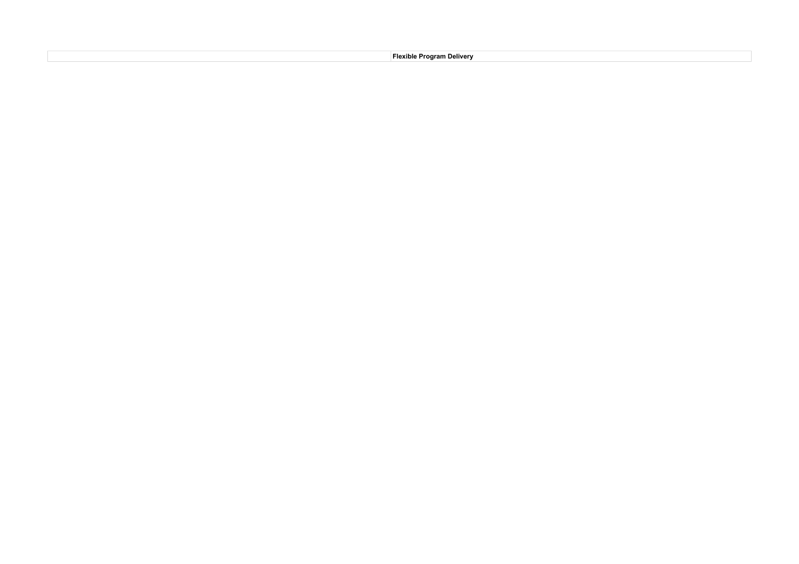**Flexible Program Delivery**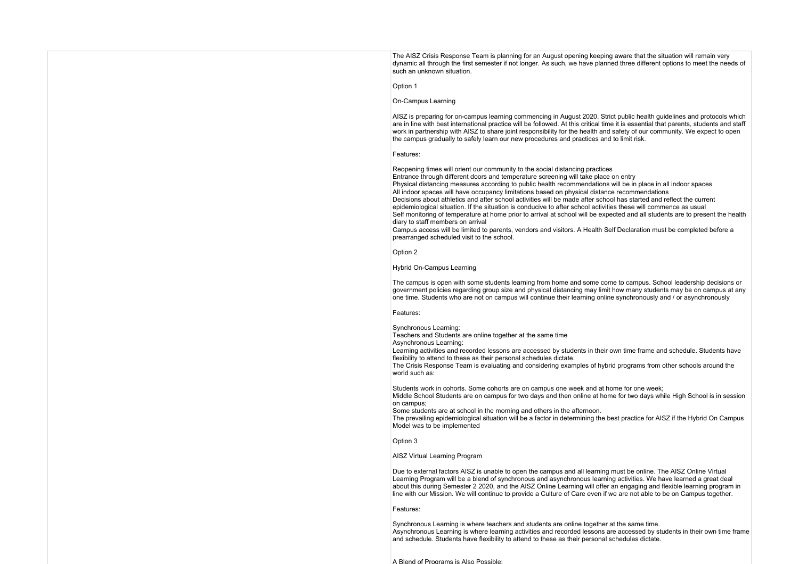The AISZ Crisis Response Team is planning for an August opening keeping aware that the situation will remain very dynamic all through the first semester if not longer. As such, we have planned three different options to meet the needs of such an unknown situation.

## Option 1

# On-Campus Learning

AISZ is preparing for on-campus learning commencing in August 2020. Strict public health guidelines and protocols which are in line with best international practice will be followed. At this critical time it is essential that parents, students and staff work in partnership with AISZ to share joint responsibility for the health and safety of our community. We expect to open the campus gradually to safely learn our new procedures and practices and to limit risk.

#### Features:

Reopening times will orient our community to the social distancing practices Entrance through different doors and temperature screening will take place on entry Physical distancing measures according to public health recommendations will be in place in all indoor spaces All indoor spaces will have occupancy limitations based on physical distance recommendations Decisions about athletics and after school activities will be made after school has started and reflect the current epidemiological situation. If the situation is conducive to after school activities these will commence as usual Self monitoring of temperature at home prior to arrival at school will be expected and all students are to present the health diary to staff members on arrival

Campus access will be limited to parents, vendors and visitors. A Health Self Declaration must be completed before a prearranged scheduled visit to the school.

#### Option 2

### Hybrid On-Campus Learning

The campus is open with some students learning from home and some come to campus. School leadership decisions or government policies regarding group size and physical distancing may limit how many students may be on campus at any one time. Students who are not on campus will continue their learning online synchronously and / or asynchronously

#### Features:

Synchronous Learning:

Teachers and Students are online together at the same time

Asynchronous Learning:

Learning activities and recorded lessons are accessed by students in their own time frame and schedule. Students have flexibility to attend to these as their personal schedules dictate.

The Crisis Response Team is evaluating and considering examples of hybrid programs from other schools around the world such as:

Students work in cohorts. Some cohorts are on campus one week and at home for one week;

Middle School Students are on campus for two days and then online at home for two days while High School is in session on campus;

Some students are at school in the morning and others in the afternoon.

The prevailing epidemiological situation will be a factor in determining the best practice for AISZ if the Hybrid On Campus Model was to be implemented

Option 3

### AISZ Virtual Learning Program

Due to external factors AISZ is unable to open the campus and all learning must be online. The AISZ Online Virtual Learning Program will be a blend of synchronous and asynchronous learning activities. We have learned a great deal about this during Semester 2 2020, and the AISZ Online Learning will offer an engaging and flexible learning program in line with our Mission. We will continue to provide a Culture of Care even if we are not able to be on Campus together.

### Features:

Synchronous Learning is where teachers and students are online together at the same time. Asynchronous Learning is where learning activities and recorded lessons are accessed by students in their own time frame and schedule. Students have flexibility to attend to these as their personal schedules dictate.

A Blend of Programs is Also Possible;